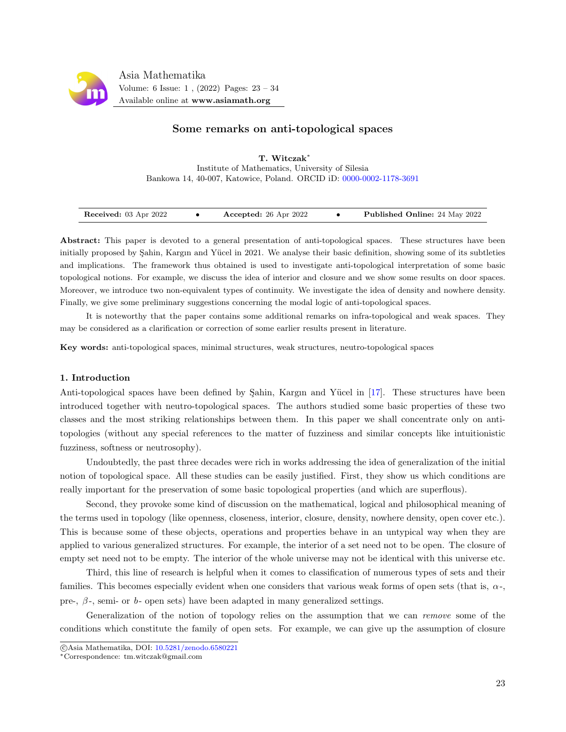

# Some remarks on anti-topological spaces

T. Witczak<sup>∗</sup> Institute of Mathematics, University of Silesia Bankowa 14, 40-007, Katowice, Poland. ORCID iD: [0000-0002-1178-3691](https://orcid.org/0000-0002-1178-3691)

| Received: 03 Apr 2022 |  | Accepted: 26 Apr 2022 |  | <b>Published Online:</b> 24 May 2022 |
|-----------------------|--|-----------------------|--|--------------------------------------|
|-----------------------|--|-----------------------|--|--------------------------------------|

Abstract: This paper is devoted to a general presentation of anti-topological spaces. These structures have been initially proposed by Sahin, Kargın and Yücel in 2021. We analyse their basic definition, showing some of its subtleties and implications. The framework thus obtained is used to investigate anti-topological interpretation of some basic topological notions. For example, we discuss the idea of interior and closure and we show some results on door spaces. Moreover, we introduce two non-equivalent types of continuity. We investigate the idea of density and nowhere density. Finally, we give some preliminary suggestions concerning the modal logic of anti-topological spaces.

It is noteworthy that the paper contains some additional remarks on infra-topological and weak spaces. They may be considered as a clarification or correction of some earlier results present in literature.

Key words: anti-topological spaces, minimal structures, weak structures, neutro-topological spaces

## 1. Introduction

Anti-topological spaces have been defined by Sahin, Kargın and Yücel in [\[17\]](#page-11-0). These structures have been introduced together with neutro-topological spaces. The authors studied some basic properties of these two classes and the most striking relationships between them. In this paper we shall concentrate only on antitopologies (without any special references to the matter of fuzziness and similar concepts like intuitionistic fuzziness, softness or neutrosophy).

Undoubtedly, the past three decades were rich in works addressing the idea of generalization of the initial notion of topological space. All these studies can be easily justified. First, they show us which conditions are really important for the preservation of some basic topological properties (and which are superflous).

Second, they provoke some kind of discussion on the mathematical, logical and philosophical meaning of the terms used in topology (like openness, closeness, interior, closure, density, nowhere density, open cover etc.). This is because some of these objects, operations and properties behave in an untypical way when they are applied to various generalized structures. For example, the interior of a set need not to be open. The closure of empty set need not to be empty. The interior of the whole universe may not be identical with this universe etc.

Third, this line of research is helpful when it comes to classification of numerous types of sets and their families. This becomes especially evident when one considers that various weak forms of open sets (that is,  $\alpha$ -, pre-,  $\beta$ -, semi- or b- open sets) have been adapted in many generalized settings.

Generalization of the notion of topology relies on the assumption that we can remove some of the conditions which constitute the family of open sets. For example, we can give up the assumption of closure

c Asia Mathematika, DOI: [10.5281/zenodo.6580221](http://www.asiamath.org/article/vol6iss1/AM-2204-6111.pdf)

<sup>∗</sup>Correspondence: tm.witczak@gmail.com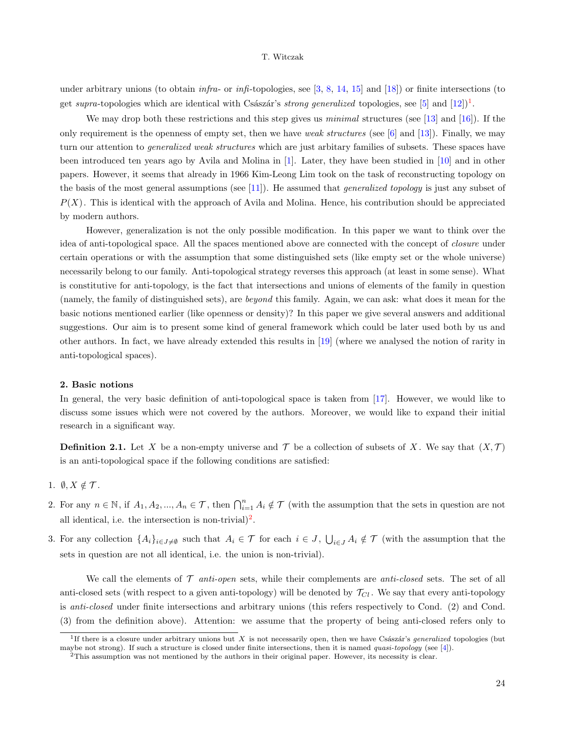under arbitrary unions (to obtain  $\inf$ n-or  $\inf$ -topologies, see [\[3,](#page-10-0) [8,](#page-11-1) [14,](#page-11-2) [15\]](#page-11-3) and [\[18\]](#page-11-4)) or finite intersections (to get supra-topologies which are identical with Császár's strong generalized topologies, see [\[5\]](#page-10-1) and  $[12]$ ]<sup>[1](#page-1-0)</sup>.

We may drop both these restrictions and this step gives us *minimal* structures (see [\[13\]](#page-11-6) and [\[16\]](#page-11-7)). If the only requirement is the openness of empty set, then we have weak structures (see  $[6]$  and  $[13]$ ). Finally, we may turn our attention to *generalized weak structures* which are just arbitary families of subsets. These spaces have been introduced ten years ago by Avila and Molina in [\[1\]](#page-10-3). Later, they have been studied in [\[10\]](#page-11-8) and in other papers. However, it seems that already in 1966 Kim-Leong Lim took on the task of reconstructing topology on the basis of the most general assumptions (see [\[11\]](#page-11-9)). He assumed that *generalized topology* is just any subset of  $P(X)$ . This is identical with the approach of Avila and Molina. Hence, his contribution should be appreciated by modern authors.

However, generalization is not the only possible modification. In this paper we want to think over the idea of anti-topological space. All the spaces mentioned above are connected with the concept of closure under certain operations or with the assumption that some distinguished sets (like empty set or the whole universe) necessarily belong to our family. Anti-topological strategy reverses this approach (at least in some sense). What is constitutive for anti-topology, is the fact that intersections and unions of elements of the family in question (namely, the family of distinguished sets), are beyond this family. Again, we can ask: what does it mean for the basic notions mentioned earlier (like openness or density)? In this paper we give several answers and additional suggestions. Our aim is to present some kind of general framework which could be later used both by us and other authors. In fact, we have already extended this results in [\[19\]](#page-11-10) (where we analysed the notion of rarity in anti-topological spaces).

## 2. Basic notions

In general, the very basic definition of anti-topological space is taken from [\[17\]](#page-11-0). However, we would like to discuss some issues which were not covered by the authors. Moreover, we would like to expand their initial research in a significant way.

<span id="page-1-2"></span>**Definition 2.1.** Let X be a non-empty universe and  $\mathcal T$  be a collection of subsets of X. We say that  $(X,\mathcal T)$ is an anti-topological space if the following conditions are satisfied:

- 1.  $\emptyset, X \notin \mathcal{T}$ .
- 2. For any  $n \in \mathbb{N}$ , if  $A_1, A_2, ..., A_n \in \mathcal{T}$ , then  $\bigcap_{i=1}^n A_i \notin \mathcal{T}$  (with the assumption that the sets in question are not all identical, i.e. the intersection is non-trivial)<sup>[2](#page-1-1)</sup>.
- 3. For any collection  $\{A_i\}_{i\in J\neq\emptyset}$  such that  $A_i\in\mathcal{T}$  for each  $i\in J$ ,  $\bigcup_{i\in J}A_i\notin\mathcal{T}$  (with the assumption that the sets in question are not all identical, i.e. the union is non-trivial).

We call the elements of  $\mathcal T$  anti-open sets, while their complements are anti-closed sets. The set of all anti-closed sets (with respect to a given anti-topology) will be denoted by  $\mathcal{T}_{Cl}$ . We say that every anti-topology is anti-closed under finite intersections and arbitrary unions (this refers respectively to Cond. (2) and Cond. (3) from the definition above). Attention: we assume that the property of being anti-closed refers only to

<span id="page-1-0"></span><sup>&</sup>lt;sup>1</sup>If there is a closure under arbitrary unions but X is not necessarily open, then we have Császár's *generalized* topologies (but maybe not strong). If such a structure is closed under finite intersections, then it is named quasi-topology (see [\[4\]](#page-10-4)).

<span id="page-1-1"></span><sup>2</sup>This assumption was not mentioned by the authors in their original paper. However, its necessity is clear.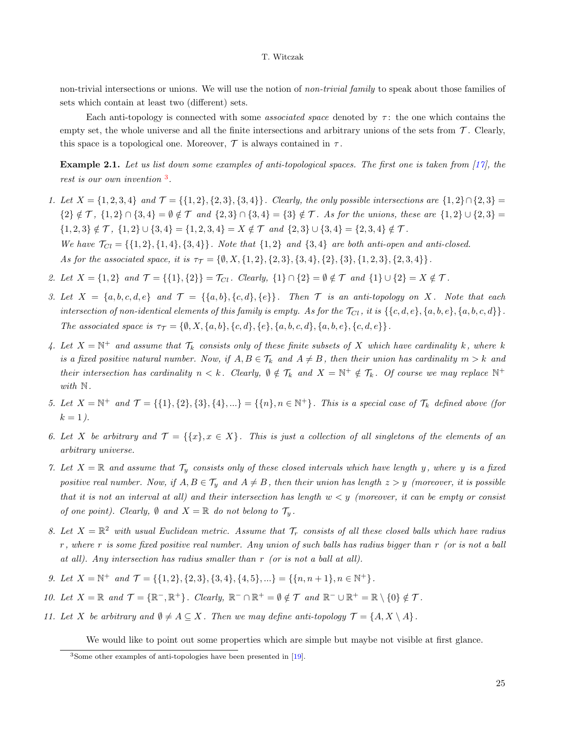non-trivial intersections or unions. We will use the notion of non-trivial family to speak about those families of sets which contain at least two (different) sets.

Each anti-topology is connected with some *associated space* denoted by  $\tau$ : the one which contains the empty set, the whole universe and all the finite intersections and arbitrary unions of the sets from  $\mathcal{T}$ . Clearly, this space is a topological one. Moreover,  $\mathcal T$  is always contained in  $\tau$ .

<span id="page-2-1"></span>**Example 2.1.** Let us list down some examples of anti-topological spaces. The first one is taken from [\[17\]](#page-11-0), the rest is our own invention  $^3$  $^3$ .

- 1. Let  $X = \{1, 2, 3, 4\}$  and  $\mathcal{T} = \{\{1, 2\}, \{2, 3\}, \{3, 4\}\}\$ . Clearly, the only possible intersections are  $\{1, 2\} \cap \{2, 3\} =$  ${2} \notin T$ ,  ${1, 2} \cap {3, 4} = \emptyset \notin T$  and  ${2, 3} \cap {3, 4} = {3} \notin T$ . As for the unions, these are  ${1, 2} \cup {2, 3} =$  $\{1,2,3\} \notin \mathcal{T}$ ,  $\{1,2\} \cup \{3,4\} = \{1,2,3,4\} = X \notin \mathcal{T}$  and  $\{2,3\} \cup \{3,4\} = \{2,3,4\} \notin \mathcal{T}$ . We have  $\mathcal{T}_{Cl} = \{\{1, 2\}, \{1, 4\}, \{3, 4\}\}\.$  Note that  $\{1, 2\}$  and  $\{3, 4\}$  are both anti-open and anti-closed. As for the associated space, it is  $\tau_{\mathcal{T}} = \{\emptyset, X, \{1, 2\}, \{2, 3\}, \{3, 4\}, \{2\}, \{3\}, \{1, 2, 3\}, \{2, 3, 4\}\}.$
- 2. Let  $X = \{1, 2\}$  and  $\mathcal{T} = \{\{1\}, \{2\}\} = \mathcal{T}_{Cl}$ . Clearly,  $\{1\} \cap \{2\} = \emptyset \notin \mathcal{T}$  and  $\{1\} \cup \{2\} = X \notin \mathcal{T}$ .
- 3. Let  $X = \{a, b, c, d, e\}$  and  $\mathcal{T} = \{\{a, b\}, \{c, d\}, \{e\}\}\$ . Then  $\mathcal{T}$  is an anti-topology on X. Note that each intersection of non-identical elements of this family is empty. As for the  $\mathcal{T}_{Cl}$ , it is  $\{\{c, d, e\}, \{a, b, e\}, \{a, b, c, d\}\}.$ The associated space is  $\tau_{\mathcal{T}} = \{\emptyset, X, \{a, b\}, \{c, d\}, \{e\}, \{a, b, c, d\}, \{a, b, e\}, \{c, d, e\}\}.$
- 4. Let  $X = \mathbb{N}^+$  and assume that  $\mathcal{T}_k$  consists only of these finite subsets of X which have cardinality k, where k is a fixed positive natural number. Now, if  $A, B \in \mathcal{T}_k$  and  $A \neq B$ , then their union has cardinality  $m > k$  and their intersection has cardinality  $n < k$ . Clearly,  $\emptyset \notin \mathcal{T}_k$  and  $X = \mathbb{N}^+ \notin \mathcal{T}_k$ . Of course we may replace  $\mathbb{N}^+$ with  $\mathbb N$ .
- 5. Let  $X = \mathbb{N}^+$  and  $\mathcal{T} = \{\{1\}, \{2\}, \{3\}, \{4\}, \ldots\} = \{\{n\}, n \in \mathbb{N}^+\}$ . This is a special case of  $\mathcal{T}_k$  defined above (for  $k = 1$ .
- 6. Let X be arbitrary and  $\mathcal{T} = \{\{x\}, x \in X\}$ . This is just a collection of all singletons of the elements of an arbitrary universe.
- 7. Let  $X = \mathbb{R}$  and assume that  $\mathcal{T}_y$  consists only of these closed intervals which have length y, where y is a fixed positive real number. Now, if  $A, B \in \mathcal{T}_y$  and  $A \neq B$ , then their union has length  $z > y$  (moreover, it is possible that it is not an interval at all) and their intersection has length  $w < y$  (moreover, it can be empty or consist of one point). Clearly,  $\emptyset$  and  $X = \mathbb{R}$  do not belong to  $\mathcal{T}_y$ .
- 8. Let  $X = \mathbb{R}^2$  with usual Euclidean metric. Assume that  $\mathcal{T}_r$  consists of all these closed balls which have radius  $r$ , where  $r$  is some fixed positive real number. Any union of such balls has radius bigger than  $r$  (or is not a ball at all). Any intersection has radius smaller than r (or is not a ball at all).
- 9. Let  $X = \mathbb{N}^+$  and  $\mathcal{T} = \{\{1, 2\}, \{2, 3\}, \{3, 4\}, \{4, 5\}, \ldots\} = \{\{n, n + 1\}, n \in \mathbb{N}^+\}.$
- 10. Let  $X = \mathbb{R}$  and  $\mathcal{T} = \{\mathbb{R}^-, \mathbb{R}^+\}$ . Clearly,  $\mathbb{R}^- \cap \mathbb{R}^+ = \emptyset \notin \mathcal{T}$  and  $\mathbb{R}^- \cup \mathbb{R}^+ = \mathbb{R} \setminus \{0\} \notin \mathcal{T}$ .
- 11. Let X be arbitrary and  $\emptyset \neq A \subseteq X$ . Then we may define anti-topology  $\mathcal{T} = \{A, X \setminus A\}$ .

We would like to point out some properties which are simple but maybe not visible at first glance.

<span id="page-2-0"></span><sup>3</sup>Some other examples of anti-topologies have been presented in [\[19\]](#page-11-10).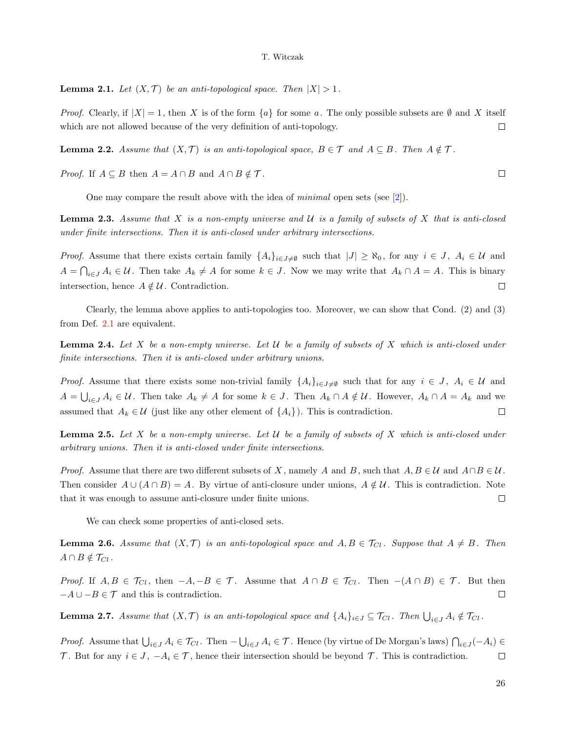**Lemma 2.1.** Let  $(X, \mathcal{T})$  be an anti-topological space. Then  $|X| > 1$ .

*Proof.* Clearly, if  $|X| = 1$ , then X is of the form  $\{a\}$  for some a. The only possible subsets are  $\emptyset$  and X itself which are not allowed because of the very definition of anti-topology.  $\Box$ 

**Lemma 2.2.** Assume that  $(X, \mathcal{T})$  is an anti-topological space,  $B \in \mathcal{T}$  and  $A \subseteq B$ . Then  $A \notin \mathcal{T}$ .

*Proof.* If  $A \subseteq B$  then  $A = A \cap B$  and  $A \cap B \notin \mathcal{T}$ .

One may compare the result above with the idea of minimal open sets (see [\[2\]](#page-10-5)).

**Lemma 2.3.** Assume that X is a non-empty universe and U is a family of subsets of X that is anti-closed under finite intersections. Then it is anti-closed under arbitrary intersections.

*Proof.* Assume that there exists certain family  $\{A_i\}_{i\in J\neq \emptyset}$  such that  $|J| \geq \aleph_0$ , for any  $i \in J$ ,  $A_i \in \mathcal{U}$  and  $A = \bigcap_{i \in J} A_i \in \mathcal{U}$ . Then take  $A_k \neq A$  for some  $k \in J$ . Now we may write that  $A_k \cap A = A$ . This is binary intersection, hence  $A \notin \mathcal{U}$ . Contradiction.  $\Box$ 

Clearly, the lemma above applies to anti-topologies too. Moreover, we can show that Cond. (2) and (3) from Def. [2.1](#page-1-2) are equivalent.

**Lemma 2.4.** Let X be a non-empty universe. Let U be a family of subsets of X which is anti-closed under finite intersections. Then it is anti-closed under arbitrary unions.

*Proof.* Assume that there exists some non-trivial family  $\{A_i\}_{i\in J\neq\emptyset}$  such that for any  $i \in J$ ,  $A_i \in \mathcal{U}$  and  $A=\bigcup_{i\in J}A_i\in\mathcal{U}$ . Then take  $A_k\neq A$  for some  $k\in J$ . Then  $A_k\cap A\notin\mathcal{U}$ . However,  $A_k\cap A=A_k$  and we assumed that  $A_k \in \mathcal{U}$  (just like any other element of  $\{A_i\}$ ). This is contradiction.  $\Box$ 

**Lemma 2.5.** Let X be a non-empty universe. Let U be a family of subsets of X which is anti-closed under arbitrary unions. Then it is anti-closed under finite intersections.

*Proof.* Assume that there are two different subsets of X, namely A and B, such that  $A, B \in \mathcal{U}$  and  $A \cap B \in \mathcal{U}$ . Then consider  $A \cup (A \cap B) = A$ . By virtue of anti-closure under unions,  $A \notin \mathcal{U}$ . This is contradiction. Note that it was enough to assume anti-closure under finite unions.  $\Box$ 

We can check some properties of anti-closed sets.

**Lemma 2.6.** Assume that  $(X, \mathcal{T})$  is an anti-topological space and  $A, B \in \mathcal{T}_{Cl}$ . Suppose that  $A \neq B$ . Then  $A \cap B \notin \mathcal{T}_{Cl}$ .

*Proof.* If  $A, B \in \mathcal{T}_{Cl}$ , then  $-A, -B \in \mathcal{T}$ . Assume that  $A \cap B \in \mathcal{T}_{Cl}$ . Then  $-(A \cap B) \in \mathcal{T}$ . But then  $-A \cup -B \in \mathcal{T}$  and this is contradiction.  $\Box$ 

**Lemma 2.7.** Assume that  $(X, \mathcal{T})$  is an anti-topological space and  $\{A_i\}_{i\in J}\subseteq \mathcal{T}_{Cl}$ . Then  $\bigcup_{i\in J} A_i \notin \mathcal{T}_{Cl}$ .

*Proof.* Assume that  $\bigcup_{i\in J} A_i \in \mathcal{T}_{Cl}$ . Then  $-\bigcup_{i\in J} A_i \in \mathcal{T}$ . Hence (by virtue of De Morgan's laws)  $\bigcap_{i\in J} (-A_i) \in$ T. But for any  $i \in J$ ,  $-A_i \in T$ , hence their intersection should be beyond T. This is contradiction.  $\Box$ 

 $\Box$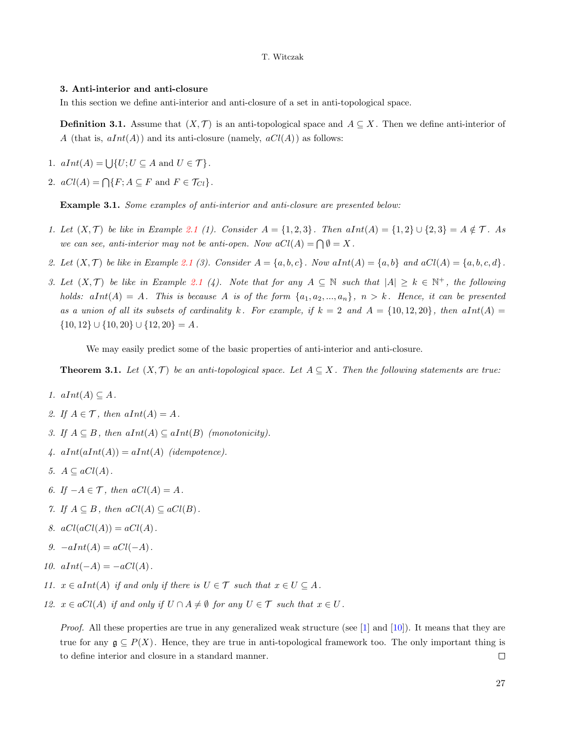## 3. Anti-interior and anti-closure

In this section we define anti-interior and anti-closure of a set in anti-topological space.

**Definition 3.1.** Assume that  $(X, \mathcal{T})$  is an anti-topological space and  $A \subseteq X$ . Then we define anti-interior of A (that is,  $aInt(A)$ ) and its anti-closure (namely,  $aCl(A)$ ) as follows:

- 1.  $aInt(A) = \bigcup \{U; U \subseteq A \text{ and } U \in \mathcal{T}\}.$
- 2.  $aCl(A) = \bigcap \{F; A \subseteq F \text{ and } F \in \mathcal{T}_{Cl}\}.$

<span id="page-4-1"></span>Example 3.1. Some examples of anti-interior and anti-closure are presented below:

- 1. Let  $(X, \mathcal{T})$  be like in Example [2.1](#page-2-1) (1). Consider  $A = \{1, 2, 3\}$ . Then  $aInt(A) = \{1, 2\} \cup \{2, 3\} = A \notin \mathcal{T}$ . As we can see, anti-interior may not be anti-open. Now  $aCl(A) = \bigcap \emptyset = X$ .
- 2. Let  $(X, \mathcal{T})$  be like in Example [2.1](#page-2-1) (3). Consider  $A = \{a, b, c\}$ . Now  $aInt(A) = \{a, b\}$  and  $aCl(A) = \{a, b, c, d\}$ .
- 3. Let  $(X,\mathcal{T})$  be like in Example [2.1](#page-2-1) (4). Note that for any  $A \subseteq \mathbb{N}$  such that  $|A| \geq k \in \mathbb{N}^+$ , the following holds:  $aInt(A) = A$ . This is because A is of the form  $\{a_1, a_2, ..., a_n\}$ ,  $n > k$ . Hence, it can be presented as a union of all its subsets of cardinality k. For example, if  $k = 2$  and  $A = \{10, 12, 20\}$ , then  $aInt(A) =$  $\{10, 12\} \cup \{10, 20\} \cup \{12, 20\} = A$ .

We may easily predict some of the basic properties of anti-interior and anti-closure.

<span id="page-4-0"></span>**Theorem 3.1.** Let  $(X, \mathcal{T})$  be an anti-topological space. Let  $A \subseteq X$ . Then the following statements are true:

- 1.  $aInt(A) \subseteq A$ .
- 2. If  $A \in \mathcal{T}$ , then  $aInt(A) = A$ .
- 3. If  $A \subseteq B$ , then  $aInt(A) \subseteq aInt(B)$  (monotonicity).
- 4.  $aInt(aInt(A)) = aInt(A)$  (idempotence).
- 5.  $A \subseteq aCl(A)$ .
- 6. If  $-A \in \mathcal{T}$ , then  $aCl(A) = A$ .
- 7. If  $A \subseteq B$ , then  $aCl(A) \subseteq aCl(B)$ .
- 8.  $aCl(aCl(A)) = aCl(A)$ .
- 9.  $-aInt(A) = aCl(-A)$ .
- 10.  $aInt(-A) = -aCl(A)$ .
- 11.  $x \in aInt(A)$  if and only if there is  $U \in \mathcal{T}$  such that  $x \in U \subseteq A$ .
- 12.  $x \in aCl(A)$  if and only if  $U \cap A \neq \emptyset$  for any  $U \in \mathcal{T}$  such that  $x \in U$ .

Proof. All these properties are true in any generalized weak structure (see [\[1\]](#page-10-3) and [\[10\]](#page-11-8)). It means that they are true for any  $\mathfrak{g} \subseteq P(X)$ . Hence, they are true in anti-topological framework too. The only important thing is to define interior and closure in a standard manner.  $\Box$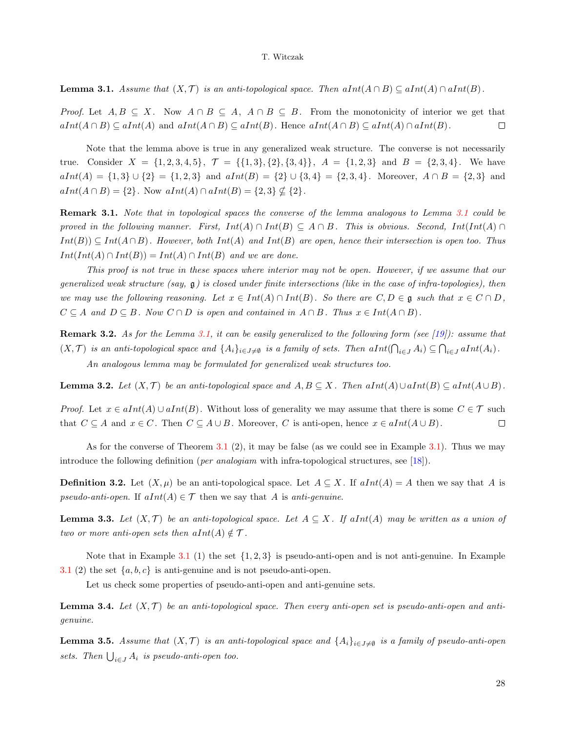<span id="page-5-0"></span>**Lemma 3.1.** Assume that  $(X, \mathcal{T})$  is an anti-topological space. Then  $aInt(A \cap B) \subseteq aInt(A) \cap aInt(B)$ .

*Proof.* Let  $A, B \subseteq X$ . Now  $A \cap B \subseteq A$ ,  $A \cap B \subseteq B$ . From the monotonicity of interior we get that  $aInt(A \cap B) \subseteq aInt(A)$  and  $aInt(A \cap B) \subseteq aInt(B)$ . Hence  $aInt(A \cap B) \subseteq aInt(A) \cap aInt(B)$ .  $\Box$ 

Note that the lemma above is true in any generalized weak structure. The converse is not necessarily true. Consider  $X = \{1, 2, 3, 4, 5\}, \mathcal{T} = \{\{1, 3\}, \{2\}, \{3, 4\}\}, A = \{1, 2, 3\}$  and  $B = \{2, 3, 4\}.$  We have  $aInt(A) = \{1,3\} \cup \{2\} = \{1,2,3\}$  and  $aInt(B) = \{2\} \cup \{3,4\} = \{2,3,4\}$ . Moreover,  $A \cap B = \{2,3\}$  and  $aInt(A \cap B) = \{2\}$ . Now  $aInt(A) \cap aInt(B) = \{2,3\} \nsubseteq \{2\}$ .

Remark [3.1](#page-5-0). Note that in topological spaces the converse of the lemma analogous to Lemma 3.1 could be proved in the following manner. First,  $Int(A) \cap Int(B) \subseteq A \cap B$ . This is obvious. Second,  $Int(Int(A) \cap$  $Int(B) \subseteq Int(A \cap B)$ . However, both  $Int(A)$  and  $Int(B)$  are open, hence their intersection is open too. Thus  $Int(int(A) \cap Int(B)) = Int(A) \cap Int(B)$  and we are done.

This proof is not true in these spaces where interior may not be open. However, if we assume that our generalized weak structure (say,  $\frak{g}$ ) is closed under finite intersections (like in the case of infra-topologies), then we may use the following reasoning. Let  $x \in Int(A) \cap Int(B)$ . So there are  $C, D \in \mathfrak{g}$  such that  $x \in C \cap D$ ,  $C \subseteq A$  and  $D \subseteq B$ . Now  $C \cap D$  is open and contained in  $A \cap B$ . Thus  $x \in Int(A \cap B)$ .

**Remark 3.2.** As for the Lemma [3.1,](#page-5-0) it can be easily generalized to the following form (see [\[19\]](#page-11-10)): assume that  $(X,\mathcal{T})$  is an anti-topological space and  $\{A_i\}_{i\in J\neq\emptyset}$  is a family of sets. Then  $aInt(\bigcap_{i\in J}A_i)\subseteq \bigcap_{i\in J}aInt(A_i)$ .

An analogous lemma may be formulated for generalized weak structures too.

**Lemma 3.2.** Let  $(X, \mathcal{T})$  be an anti-topological space and  $A, B \subseteq X$ . Then  $aInt(A) \cup aInt(B) \subseteq aInt(A \cup B)$ .

*Proof.* Let  $x \in alnt(A) \cup alnt(B)$ . Without loss of generality we may assume that there is some  $C \in \mathcal{T}$  such that  $C \subseteq A$  and  $x \in C$ . Then  $C \subseteq A \cup B$ . Moreover, C is anti-open, hence  $x \in alInt(A \cup B)$ .  $\Box$ 

As for the converse of Theorem  $3.1\,$  $3.1\,$  (2), it may be false (as we could see in Example  $3.1$ ). Thus we may introduce the following definition (*per analogiam* with infra-topological structures, see [\[18\]](#page-11-4)).

**Definition 3.2.** Let  $(X, \mu)$  be an anti-topological space. Let  $A \subseteq X$ . If  $aInt(A) = A$  then we say that A is pseudo-anti-open. If  $aInt(A) \in \mathcal{T}$  then we say that A is anti-genuine.

**Lemma 3.3.** Let  $(X, \mathcal{T})$  be an anti-topological space. Let  $A \subseteq X$ . If aInt(A) may be written as a union of two or more anti-open sets then  $aInt(A) \notin \mathcal{T}$ .

Note that in Example [3.1](#page-4-1) (1) the set  $\{1, 2, 3\}$  is pseudo-anti-open and is not anti-genuine. In Example [3.1](#page-4-1) (2) the set  $\{a, b, c\}$  is anti-genuine and is not pseudo-anti-open.

Let us check some properties of pseudo-anti-open and anti-genuine sets.

**Lemma 3.4.** Let  $(X, \mathcal{T})$  be an anti-topological space. Then every anti-open set is pseudo-anti-open and antigenuine.

**Lemma 3.5.** Assume that  $(X, \mathcal{T})$  is an anti-topological space and  $\{A_i\}_{i\in J\neq\emptyset}$  is a family of pseudo-anti-open sets. Then  $\bigcup_{i \in J} A_i$  is pseudo-anti-open too.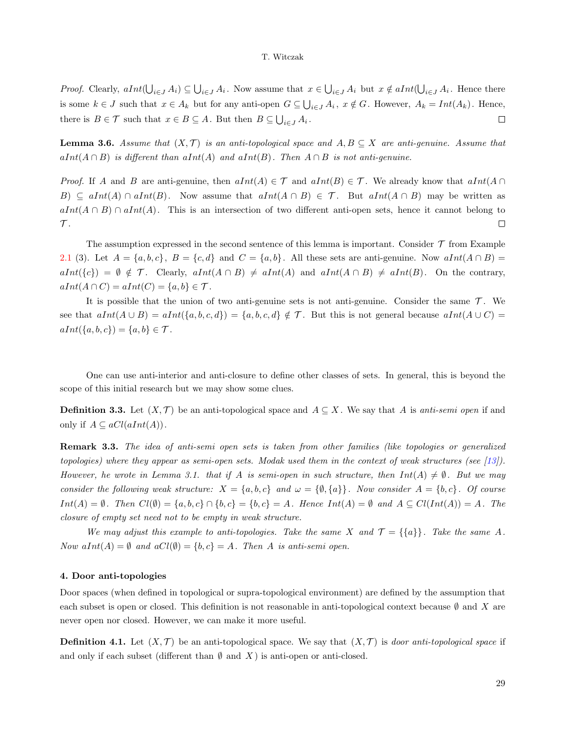*Proof.* Clearly,  $aInt(\bigcup_{i\in J} A_i) \subseteq \bigcup_{i\in J} A_i$ . Now assume that  $x \in \bigcup_{i\in J} A_i$  but  $x \notin aInt(\bigcup_{i\in J} A_i)$ . Hence there is some  $k \in J$  such that  $x \in A_k$  but for any anti-open  $G \subseteq \bigcup_{i \in J} A_i$ ,  $x \notin G$ . However,  $A_k = Int(A_k)$ . Hence, there is  $B \in \mathcal{T}$  such that  $x \in B \subseteq A$ . But then  $B \subseteq \bigcup_{i \in J} A_i$ .  $\Box$ 

**Lemma 3.6.** Assume that  $(X, \mathcal{T})$  is an anti-topological space and  $A, B \subseteq X$  are anti-genuine. Assume that  $aInt(A \cap B)$  is different than  $aInt(A)$  and  $aInt(B)$ . Then  $A \cap B$  is not anti-genuine.

*Proof.* If A and B are anti-genuine, then  $dInt(A) \in \mathcal{T}$  and  $dInt(B) \in \mathcal{T}$ . We already know that  $dInt(A \cap$ B)  $\subseteq$  aInt(A) ∩ aInt(B). Now assume that aInt(A ∩ B)  $\in \mathcal{T}$ . But aInt(A ∩ B) may be written as  $aInt(A \cap B) \cap aInt(A)$ . This is an intersection of two different anti-open sets, hence it cannot belong to  ${\cal T}.$  $\Box$ 

The assumption expressed in the second sentence of this lemma is important. Consider  $\mathcal T$  from Example [2.1](#page-2-1) (3). Let  $A = \{a, b, c\}$ ,  $B = \{c, d\}$  and  $C = \{a, b\}$ . All these sets are anti-genuine. Now  $aInt(A \cap B) =$  $aInt({c}) = \emptyset \notin \mathcal{T}$ . Clearly,  $aInt(A \cap B) \neq aInt(A)$  and  $aInt(A \cap B) \neq aInt(B)$ . On the contrary,  $aInt(A \cap C) = aInt(C) = \{a, b\} \in \mathcal{T}.$ 

It is possible that the union of two anti-genuine sets is not anti-genuine. Consider the same  $\mathcal{T}$ . We see that  $aInt(A\cup B) = aInt(\{a, b, c, d\}) = \{a, b, c, d\} \notin \mathcal{T}$ . But this is not general because  $aInt(A\cup C) =$  $aInt({a, b, c}) = {a, b} \in T$ .

One can use anti-interior and anti-closure to define other classes of sets. In general, this is beyond the scope of this initial research but we may show some clues.

**Definition 3.3.** Let  $(X, \mathcal{T})$  be an anti-topological space and  $A \subseteq X$ . We say that A is anti-semi open if and only if  $A \subseteq \operatorname{aCl}(\operatorname{aInt}(A))$ .

Remark 3.3. The idea of anti-semi open sets is taken from other families (like topologies or generalized topologies) where they appear as semi-open sets. Modak used them in the context of weak structures (see [\[13\]](#page-11-6)). However, he wrote in Lemma 3.1. that if A is semi-open in such structure, then  $Int(A) \neq \emptyset$ . But we may consider the following weak structure:  $X = \{a, b, c\}$  and  $\omega = \{\emptyset, \{a\}\}\$ . Now consider  $A = \{b, c\}$ . Of course  $Int(A) = \emptyset$ . Then  $Cl(\emptyset) = \{a, b, c\} \cap \{b, c\} = \{b, c\} = A$ . Hence  $Int(A) = \emptyset$  and  $A \subseteq Cl(int(A)) = A$ . The closure of empty set need not to be empty in weak structure.

We may adjust this example to anti-topologies. Take the same X and  $\mathcal{T} = \{\{a\}\}\.$  Take the same A. Now  $aInt(A) = \emptyset$  and  $aCl(\emptyset) = \{b, c\} = A$ . Then A is anti-semi open.

## 4. Door anti-topologies

Door spaces (when defined in topological or supra-topological environment) are defined by the assumption that each subset is open or closed. This definition is not reasonable in anti-topological context because  $\emptyset$  and X are never open nor closed. However, we can make it more useful.

**Definition 4.1.** Let  $(X, \mathcal{T})$  be an anti-topological space. We say that  $(X, \mathcal{T})$  is *door anti-topological space* if and only if each subset (different than  $\emptyset$  and  $X$ ) is anti-open or anti-closed.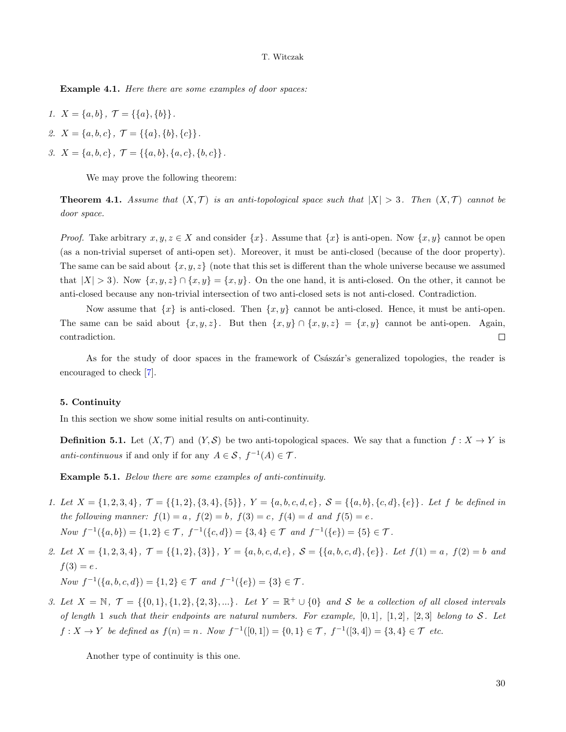Example 4.1. Here there are some examples of door spaces:

- 1.  $X = \{a, b\}, \mathcal{T} = \{\{a\}, \{b\}\}.$
- 2.  $X = \{a, b, c\}, \mathcal{T} = \{\{a\}, \{b\}, \{c\}\}.$
- 3.  $X = \{a, b, c\}, \mathcal{T} = \{\{a, b\}, \{a, c\}, \{b, c\}\}.$

We may prove the following theorem:

**Theorem 4.1.** Assume that  $(X, \mathcal{T})$  is an anti-topological space such that  $|X| > 3$ . Then  $(X, \mathcal{T})$  cannot be door space.

*Proof.* Take arbitrary  $x, y, z \in X$  and consider  $\{x\}$ . Assume that  $\{x\}$  is anti-open. Now  $\{x, y\}$  cannot be open (as a non-trivial superset of anti-open set). Moreover, it must be anti-closed (because of the door property). The same can be said about  $\{x, y, z\}$  (note that this set is different than the whole universe because we assumed that  $|X| > 3$ ). Now  $\{x, y, z\} \cap \{x, y\} = \{x, y\}$ . On the one hand, it is anti-closed. On the other, it cannot be anti-closed because any non-trivial intersection of two anti-closed sets is not anti-closed. Contradiction.

Now assume that  $\{x\}$  is anti-closed. Then  $\{x, y\}$  cannot be anti-closed. Hence, it must be anti-open. The same can be said about  $\{x, y, z\}$ . But then  $\{x, y\} \cap \{x, y, z\} = \{x, y\}$  cannot be anti-open. Again, contradiction.  $\Box$ 

As for the study of door spaces in the framework of Csaszar's generalized topologies, the reader is encouraged to check [\[7\]](#page-11-11).

## 5. Continuity

In this section we show some initial results on anti-continuity.

**Definition 5.1.** Let  $(X, \mathcal{T})$  and  $(Y, \mathcal{S})$  be two anti-topological spaces. We say that a function  $f : X \to Y$  is *anti-continuous* if and only if for any  $A \in S$ ,  $f^{-1}(A) \in \mathcal{T}$ .

Example 5.1. Below there are some examples of anti-continuity.

- 1. Let  $X = \{1, 2, 3, 4\}$ ,  $\mathcal{T} = \{\{1, 2\}, \{3, 4\}, \{5\}\}\$ ,  $Y = \{a, b, c, d, e\}$ ,  $\mathcal{S} = \{\{a, b\}, \{c, d\}, \{e\}\}\$ . Let f be defined in the following manner:  $f(1) = a$ ,  $f(2) = b$ ,  $f(3) = c$ ,  $f(4) = d$  and  $f(5) = e$ . Now  $f^{-1}(\{a, b\}) = \{1, 2\} \in \mathcal{T}$ ,  $f^{-1}(\{c, d\}) = \{3, 4\} \in \mathcal{T}$  and  $f^{-1}(\{e\}) = \{5\} \in \mathcal{T}$ .
- 2. Let  $X = \{1, 2, 3, 4\}, \mathcal{T} = \{\{1, 2\}, \{3\}\}, Y = \{a, b, c, d, e\}, \mathcal{S} = \{\{a, b, c, d\}, \{e\}\}.$  Let  $f(1) = a, f(2) = b$  and  $f(3) = e$ . Now  $f^{-1}(\{a, b, c, d\}) = \{1, 2\}$  ∈  $\mathcal T$  and  $f^{-1}(\{e\}) = \{3\}$  ∈  $\mathcal T$ .
- 3. Let  $X = \mathbb{N}, \mathcal{T} = \{\{0,1\},\{1,2\},\{2,3\},\ldots\}.$  Let  $Y = \mathbb{R}^+ \cup \{0\}$  and S be a collection of all closed intervals of length 1 such that their endpoints are natural numbers. For example,  $[0,1]$ ,  $[1,2]$ ,  $[2,3]$  belong to S. Let  $f: X \to Y$  be defined as  $f(n) = n$ . Now  $f^{-1}([0, 1]) = \{0, 1\} \in \mathcal{T}$ ,  $f^{-1}([3, 4]) = \{3, 4\} \in \mathcal{T}$  etc.

Another type of continuity is this one.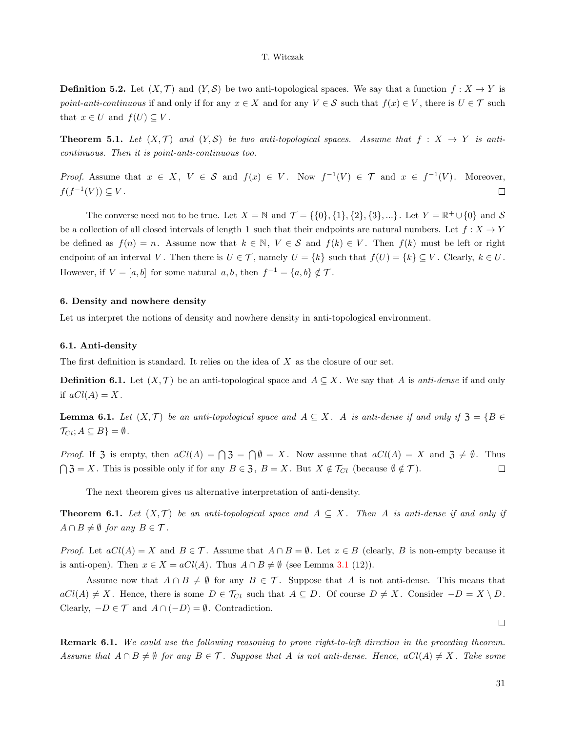**Definition 5.2.** Let  $(X, \mathcal{T})$  and  $(Y, \mathcal{S})$  be two anti-topological spaces. We say that a function  $f : X \to Y$  is point-anti-continuous if and only if for any  $x \in X$  and for any  $V \in S$  such that  $f(x) \in V$ , there is  $U \in \mathcal{T}$  such that  $x \in U$  and  $f(U) \subseteq V$ .

**Theorem 5.1.** Let  $(X, \mathcal{T})$  and  $(Y, \mathcal{S})$  be two anti-topological spaces. Assume that  $f : X \to Y$  is anticontinuous. Then it is point-anti-continuous too.

*Proof.* Assume that  $x \in X$ ,  $V \in S$  and  $f(x) \in V$ . Now  $f^{-1}(V) \in T$  and  $x \in f^{-1}(V)$ . Moreover,  $f(f^{-1}(V)) \subseteq V$ .  $\Box$ 

The converse need not to be true. Let  $X = \mathbb{N}$  and  $\mathcal{T} = \{\{0\}, \{1\}, \{2\}, \{3\}, \ldots\}$ . Let  $Y = \mathbb{R}^+ \cup \{0\}$  and  $S$ be a collection of all closed intervals of length 1 such that their endpoints are natural numbers. Let  $f: X \to Y$ be defined as  $f(n) = n$ . Assume now that  $k \in \mathbb{N}$ ,  $V \in \mathcal{S}$  and  $f(k) \in V$ . Then  $f(k)$  must be left or right endpoint of an interval V. Then there is  $U \in \mathcal{T}$ , namely  $U = \{k\}$  such that  $f(U) = \{k\} \subseteq V$ . Clearly,  $k \in U$ . However, if  $V = [a, b]$  for some natural  $a, b$ , then  $f^{-1} = \{a, b\} \notin \mathcal{T}$ .

#### 6. Density and nowhere density

Let us interpret the notions of density and nowhere density in anti-topological environment.

#### 6.1. Anti-density

The first definition is standard. It relies on the idea of  $X$  as the closure of our set.

**Definition 6.1.** Let  $(X, \mathcal{T})$  be an anti-topological space and  $A \subseteq X$ . We say that A is anti-dense if and only if  $aCl(A) = X$ .

**Lemma 6.1.** Let  $(X, \mathcal{T})$  be an anti-topological space and  $A \subseteq X$ . A is anti-dense if and only if  $\mathfrak{Z} = \{B \in \mathfrak{Z} \mid B \subseteq X\}$  $\mathcal{T}_{Cl}; A \subseteq B$  =  $\emptyset$ .

*Proof.* If 3 is empty, then  $aCl(A) = \bigcap 3 = \bigcap \emptyset = X$ . Now assume that  $aCl(A) = X$  and  $3 \neq \emptyset$ . Thus  $\bigcap$  3 = X. This is possible only if for any  $B \in \mathfrak{Z}$ ,  $B = X$ . But  $X \notin \mathcal{T}_{Cl}$  (because  $\emptyset \notin \mathcal{T}$ ).  $\Box$ 

The next theorem gives us alternative interpretation of anti-density.

**Theorem 6.1.** Let  $(X, \mathcal{T})$  be an anti-topological space and  $A \subseteq X$ . Then A is anti-dense if and only if  $A \cap B \neq \emptyset$  for any  $B \in \mathcal{T}$ .

*Proof.* Let  $aCl(A) = X$  and  $B \in \mathcal{T}$ . Assume that  $A \cap B = \emptyset$ . Let  $x \in B$  (clearly, B is non-empty because it is anti-open). Then  $x \in X = aCl(A)$ . Thus  $A \cap B \neq \emptyset$  (see Lemma [3.1](#page-4-0) (12)).

Assume now that  $A \cap B \neq \emptyset$  for any  $B \in \mathcal{T}$ . Suppose that A is not anti-dense. This means that  $aCl(A) \neq X$ . Hence, there is some  $D \in \mathcal{T}_{Cl}$  such that  $A \subseteq D$ . Of course  $D \neq X$ . Consider  $-D = X \setminus D$ . Clearly,  $-D \in \mathcal{T}$  and  $A \cap (-D) = \emptyset$ . Contradiction.

Remark 6.1. We could use the following reasoning to prove right-to-left direction in the preceding theorem. Assume that  $A \cap B \neq \emptyset$  for any  $B \in \mathcal{T}$ . Suppose that A is not anti-dense. Hence,  $aCl(A) \neq X$ . Take some

 $\Box$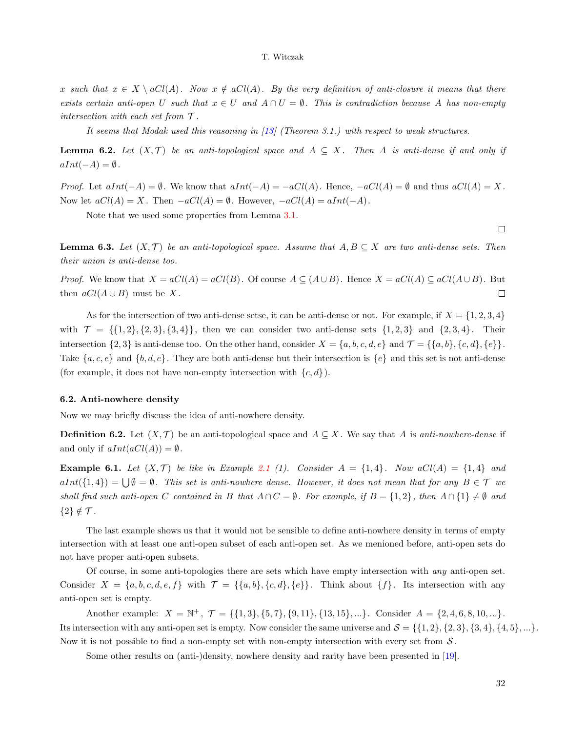x such that  $x \in X \setminus aCl(A)$ . Now  $x \notin aCl(A)$ . By the very definition of anti-closure it means that there exists certain anti-open U such that  $x \in U$  and  $A \cap U = \emptyset$ . This is contradiction because A has non-empty intersection with each set from  $\mathcal T$ .

It seems that Modak used this reasoning in [\[13\]](#page-11-6) (Theorem 3.1.) with respect to weak structures.

**Lemma 6.2.** Let  $(X, \mathcal{T})$  be an anti-topological space and  $A \subseteq X$ . Then A is anti-dense if and only if  $aInt(-A) = \emptyset$ .

*Proof.* Let  $aInt(-A) = \emptyset$ . We know that  $aInt(-A) = -aCl(A)$ . Hence,  $-aCl(A) = \emptyset$  and thus  $aCl(A) = X$ . Now let  $aCl(A) = X$ . Then  $-aCl(A) = \emptyset$ . However,  $-aCl(A) = aInt(-A)$ .

Note that we used some properties from Lemma [3.1.](#page-4-0)

 $\Box$ 

**Lemma 6.3.** Let  $(X, \mathcal{T})$  be an anti-topological space. Assume that  $A, B \subseteq X$  are two anti-dense sets. Then their union is anti-dense too.

*Proof.* We know that  $X = aCl(A) = aCl(B)$ . Of course  $A \subseteq (A \cup B)$ . Hence  $X = aCl(A) \subseteq aCl(A \cup B)$ . But then  $aCl(A \cup B)$  must be X.  $\Box$ 

As for the intersection of two anti-dense setse, it can be anti-dense or not. For example, if  $X = \{1, 2, 3, 4\}$ with  $\mathcal{T} = \{ \{1, 2\}, \{2, 3\}, \{3, 4\} \}$ , then we can consider two anti-dense sets  $\{1, 2, 3\}$  and  $\{2, 3, 4\}$ . Their intersection  $\{2,3\}$  is anti-dense too. On the other hand, consider  $X = \{a,b,c,d,e\}$  and  $\mathcal{T} = \{\{a,b\},\{c,d\},\{e\}\}.$ Take  $\{a, c, e\}$  and  $\{b, d, e\}$ . They are both anti-dense but their intersection is  $\{e\}$  and this set is not anti-dense (for example, it does not have non-empty intersection with  $\{c, d\}$ ).

#### 6.2. Anti-nowhere density

Now we may briefly discuss the idea of anti-nowhere density.

**Definition 6.2.** Let  $(X, \mathcal{T})$  be an anti-topological space and  $A \subseteq X$ . We say that A is anti-nowhere-dense if and only if  $aInt(aCl(A)) = \emptyset$ .

**Example 6.1.** Let  $(X, \mathcal{T})$  be like in Example [2.1](#page-2-1) (1). Consider  $A = \{1,4\}$ . Now  $aCl(A) = \{1,4\}$  and  $aInt({1, 4}) = \bigcup \emptyset = \emptyset$ . This set is anti-nowhere dense. However, it does not mean that for any  $B \in \mathcal{T}$  we shall find such anti-open C contained in B that  $A \cap C = \emptyset$ . For example, if  $B = \{1,2\}$ , then  $A \cap \{1\} \neq \emptyset$  and  ${2} \notin \mathcal{T}$ .

The last example shows us that it would not be sensible to define anti-nowhere density in terms of empty intersection with at least one anti-open subset of each anti-open set. As we menioned before, anti-open sets do not have proper anti-open subsets.

Of course, in some anti-topologies there are sets which have empty intersection with any anti-open set. Consider  $X = \{a, b, c, d, e, f\}$  with  $\mathcal{T} = \{\{a, b\}, \{c, d\}, \{e\}\}\$ . Think about  $\{f\}$ . Its intersection with any anti-open set is empty.

Another example:  $X = \mathbb{N}^+, \mathcal{T} = \{\{1,3\}, \{5,7\}, \{9,11\}, \{13,15\}, ...\}.$  Consider  $A = \{2,4,6,8,10,...\}.$ Its intersection with any anti-open set is empty. Now consider the same universe and  $\mathcal{S} = \{\{1, 2\}, \{2, 3\}, \{3, 4\}, \{4, 5\}, ...\}$ . Now it is not possible to find a non-empty set with non-empty intersection with every set from  $S$ .

Some other results on (anti-)density, nowhere density and rarity have been presented in [\[19\]](#page-11-10).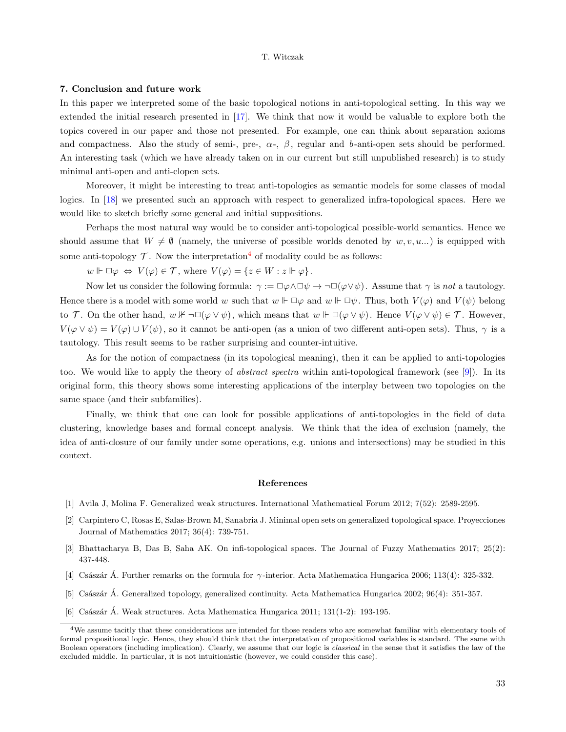### 7. Conclusion and future work

In this paper we interpreted some of the basic topological notions in anti-topological setting. In this way we extended the initial research presented in [\[17\]](#page-11-0). We think that now it would be valuable to explore both the topics covered in our paper and those not presented. For example, one can think about separation axioms and compactness. Also the study of semi-, pre-,  $\alpha$ -,  $\beta$ , regular and b-anti-open sets should be performed. An interesting task (which we have already taken on in our current but still unpublished research) is to study minimal anti-open and anti-clopen sets.

Moreover, it might be interesting to treat anti-topologies as semantic models for some classes of modal logics. In [\[18\]](#page-11-4) we presented such an approach with respect to generalized infra-topological spaces. Here we would like to sketch briefly some general and initial suppositions.

Perhaps the most natural way would be to consider anti-topological possible-world semantics. Hence we should assume that  $W \neq \emptyset$  (namely, the universe of possible worlds denoted by  $w, v, u...$ ) is equipped with some anti-topology  $\mathcal T$ . Now the interpretation<sup>[4](#page-10-6)</sup> of modality could be as follows:

 $w \Vdash \Box \varphi \Leftrightarrow V(\varphi) \in \mathcal{T}$ , where  $V(\varphi) = \{z \in W : z \Vdash \varphi\}.$ 

Now let us consider the following formula:  $\gamma := \Box \varphi \land \Box \psi \to \neg \Box (\varphi \lor \psi)$ . Assume that  $\gamma$  is not a tautology. Hence there is a model with some world w such that  $w \Vdash \Box \varphi$  and  $w \Vdash \Box \psi$ . Thus, both  $V(\varphi)$  and  $V(\psi)$  belong to T. On the other hand,  $w \nvDash \neg \Box(\varphi \lor \psi)$ , which means that  $w \Vdash \Box(\varphi \lor \psi)$ . Hence  $V(\varphi \lor \psi) \in \mathcal{T}$ . However,  $V(\varphi \vee \psi) = V(\varphi) \cup V(\psi)$ , so it cannot be anti-open (as a union of two different anti-open sets). Thus,  $\gamma$  is a tautology. This result seems to be rather surprising and counter-intuitive.

As for the notion of compactness (in its topological meaning), then it can be applied to anti-topologies too. We would like to apply the theory of abstract spectra within anti-topological framework (see [\[9\]](#page-11-12)). In its original form, this theory shows some interesting applications of the interplay between two topologies on the same space (and their subfamilies).

Finally, we think that one can look for possible applications of anti-topologies in the field of data clustering, knowledge bases and formal concept analysis. We think that the idea of exclusion (namely, the idea of anti-closure of our family under some operations, e.g. unions and intersections) may be studied in this context.

### References

- <span id="page-10-3"></span>[1] Avila J, Molina F. Generalized weak structures. International Mathematical Forum 2012; 7(52): 2589-2595.
- <span id="page-10-5"></span>[2] Carpintero C, Rosas E, Salas-Brown M, Sanabria J. Minimal open sets on generalized topological space. Proyecciones Journal of Mathematics 2017; 36(4): 739-751.
- <span id="page-10-0"></span>[3] Bhattacharya B, Das B, Saha AK. On infi-topological spaces. The Journal of Fuzzy Mathematics 2017; 25(2): 437-448.
- <span id="page-10-4"></span>[4] Császár A. Further remarks on the formula for  $\gamma$ -interior. Acta Mathematica Hungarica 2006; 113(4): 325-332.
- <span id="page-10-1"></span>[5] Császár Á. Generalized topology, generalized continuity. Acta Mathematica Hungarica 2002; 96(4): 351-357.
- <span id="page-10-2"></span>[6] Császár Á. Weak structures. Acta Mathematica Hungarica 2011; 131(1-2): 193-195.

<span id="page-10-6"></span> $4$ We assume tacitly that these considerations are intended for those readers who are somewhat familiar with elementary tools of formal propositional logic. Hence, they should think that the interpretation of propositional variables is standard. The same with Boolean operators (including implication). Clearly, we assume that our logic is classical in the sense that it satisfies the law of the excluded middle. In particular, it is not intuitionistic (however, we could consider this case).